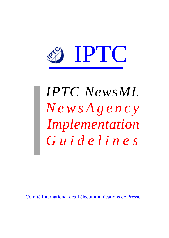

# *IPTC NewsML NewsAgency Implementation Guidelines*

Comité International des Télécommunications de Presse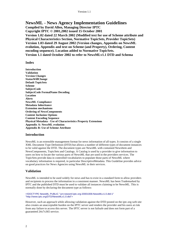# **NewsML - News Agency Implementation Guidelines**

**Compiled by David Allen, Managing Director IPTC Copyright IPTC © 2001,2002 issued 15 October 2001 Version 1.02 dated 22 March 2002 (Modified text for use of Scheme attribute and Physical Characteristics Section, Normative TopicSets, Provider TopicSets) Version 1.03 dated 29 August 2002 (Version changes, Appendix on NewsML evolution, Appendix and text on Scheme (and Property), Ordering, Content encoding sequence). Location added to Normative TopicSets. Version 1.1 dated October 2002 to refer to NewsMLv1.1 DTD and Schema**

# **Index**

**Introduction Validation Version Changes StatusWillChange Default TopicSets Scheme SubjectCode SubjectCode FormalName Decoding Location Alerts NewsML Compliance Metadata Inheritance Extension mechanisms Ordering of NewsComponents Content Inclusion Options Content Encoding Sequence Physical Metadata - Use of Characteristics Property Extensions Appendix A: NewsML evolution Appendix B: Use of Scheme Attribute**

# **Introduction**

NewsML is an extensible management format for news information of all types. It consists of a single XML Document Type Definition (DTD) but allows a number of different types of document instances to be valid against the DTD. The document types are NewsML with contained NewsItem and NewsComponents, TopicSets and Catalogs. A Catalog is used by a provider to give information to users on how to locate the various parts of NewsML that are used in the providers services. The TopicSets provide data in controlled vocabularies to populate those parts of NewsML where vocabulary information is required, in particular DescriptiveMetadata. This Guideline provides advice on good practices for News Agencies using NewsML in their services.

# **Validation**

NewsML is intended to be used widely for news and has to exist in a standard form to allow providers and recipients to process the information in a consistent manner. NewsML has been Trademarked by IPTC and the published DTD must be used to validate all instances claiming to be NewsML. This is normally done by declaring the document type as follows:

<!DOCTYPE NewsML PUBLIC "urn:newsml:iptc.org:20001006:NewsMLv1.0.dtd:1" "http://www.iptc.org/DTD/NewsMLv1.0.dtd">

However, such an approach while allowing validation against the DTD posted on the iptc.org web site also creates an unacceptable burden on the IPTC server and renders the provider and his users at risk from any failure to access this server. The IPTC server is not failsafe and does not form part of a guaranteed 24x7x365 service.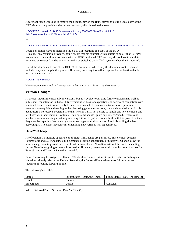A safer approach would be to remove the dependency on the IPTC server by using a local copy of the DTD either at the provider's site or one previously distributed to the users.

<!DOCTYPE NewsML PUBLIC "urn:newsml:iptc.org:20001006:NewsMLv1.0.dtd:1" "http://www.provider.org/DTD/NewsMLv1.0.dtd">

or

<!DOCTYPE NewsML PUBLIC "urn:newsml:iptc.org:20001006:NewsMLv1.0.dtd:1" "./DTD/NewsMLv1.0.dtd">

Could be suitable ways of indication the SYSTEM locations of a copy of the DTD. Of course, any reputable provider should ensure that his contract with his users stipulate that NewsML instances will be valid in accordance with the IPTC published DTD and they do not have to validate instances on receipt. Validation can normally be switched off in XML systems when this is required.

Use of the abbreviated form of the DOCTYPE declaration where only the document root element is included may also help in this process. However, not every tool will accept such a declaration that is missing the system part.

#### <!DOCTYPE NewsML>

However, not every tool will accept such a declaration that is missing the system part.

# **Version Changes**

At present NewsML exists only in version 1 but as it evolves over time further versions may well be published. The intention is that all future versions will, as far as practical, be backward compatible with version 1. Future versions are likely to have more named elements and attributes as requirements become more explicit and naming, rather that using generic extensions, is considered desirable. In this event users who receive a version later than version 1 may not be able to handle any new elements and attributes with their version 1 systems. Their systems should ignore any unrecognised elements and attributes without causing a system processing failure. If systems are not built with this protection then they must be capable of recognising a document type other than version 1 and discarding the data accordingly. The exact mechanism for handling new versions is at Appendix A.

#### **StatusWillChange**

As of version 1.1 multiple appearances of StatusWillChange are permitted. This element contains FutureStatus and DateAndTime child elements. Multiple appearances of StatusWillChange allow for news management to provide a series of instructions about a NewsItem without the need for sending further NewsItems giving on status information. However, there are certain combinations of values for FutureStatus and DateAndTime that are valid.

FutureStatus may be assigned as Usable, Withheld or Canceled since it is not possible to Embargo a NewsItem already released as Usable. Secondly, the DateAndTime values must follow a proper sequence of looking forward in time.

The following are valid:

| <b>Status</b> | FutureStatus DateAndTime(1) | FutureStatus. DateAndTime(2) |
|---------------|-----------------------------|------------------------------|
| Usable        | $\Gamma$ anceled            |                              |
| Embargoed     | ™ Jsable                    | Canceled                     |

Where DateAndTime (2) is after DateAndTime(1)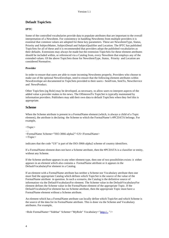# **Default TopicSets**

#### **IPTC**

Some of the controlled vocabularies provide data to populate attributes that are important to the overall interpretation of a NewsItem. For consistency in handling NewsItems from multiple providers it is essential that common values are adopted for these key parameters. These are NewsItemType, Status, Priority and SubjectMatter, SubjectDetail and SubjectQualifier and Location. The IPTC has published TopicSets for all of these and it is recommended that providers adopt the published vocabularies as their defaults. Extensions may always be made but the extension TopicSets for these element attributes should be included within, or referenced via a Catalog from, every NewsItem that employs any of the extended values. Of the above TopicSets those for NewsItemType, Status, Priority and Location are considered Normative.

#### **Provider**

In order to ensure that users are able to route incoming NewsItems properly, Providers who choose to make use of the optional NewsEnvelope, need to ensure that the following element attributes within NewsEnvelope are documented in TopicSets provided to their users:- SentFrom, SentTo, NewsService and NewsProduct.

Other TopicSets (eg Role) may be developed, as necessary, to allow users to interpret aspects of the added value a provider makes to his news. The OfInterestTo TopicSet is typically maintained by information providers. Publishers may add their own data to default TopicSets when they feel this is appropriate.

# **Scheme**

When the Scheme attribute is present in a FormalName element (which, is always a child of a Topic element), the attribute is declaring the Scheme to which the FormalName's #PCDATA belongs. For example,

<Topic>

….

<FormalName Scheme="ISO-3066-alpha2">US</FormalName> </Topic>

indicates that the code "US" is part of the ISO-3066-alpha2 scheme of country identifiers.

If a FormalName element does not have a Scheme attribute, then the #PCDATA is a classifier or entity, without any Scheme.

If the Scheme attribute appears in any other element type, then one of two possibilities exists: it either appears in an element which also contains a FormalName attribute or it appears in the DefaultVocabularyFor element in a Catalog.

If an element with a FormalName attribute has neither a Scheme nor Vocabulary attribute then one must find the appropriate Catalog which defines which TopicSet is the source of the value of the FormalName attribute in question. In such a scenario, the Catalog is the definitive source of information via the DefaultVocabularyFor element. The Scheme value in the DefaultVocabularyFor element defines the Scheme value in the FormalName element of the appropriate Topic. If the DefaultVocabularyFor element has no Scheme attribute, then the appropriate Topic must have a FormalName element without a Scheme attribute.

An element which has a FormalName attribute can locally define which TopicSet and which Scheme is the source of the data for its FormalName attribute. This is done via the Scheme and Vocabulary attributes. For example,

<Role FormalName="Sidebar" Scheme="MyRole" Vocabulary="http://.. "/>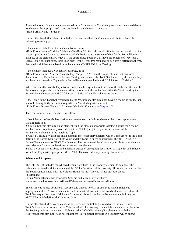As stated above, if an element contains neither a Scheme nor a Vocabulary attribute, then one defaults to whatever the appropriate Catalog declares for the element in question. <Role FormalName="Sidebar"/>

On the other hand, if an element includes a Scheme attribute or Vocabulary attribute or both, the following rules apply:

If the element includes just a Scheme attribute, as in

 $\leq$ Role FormalName="Sidebar" Scheme="MyRole"  $\geq$ , then the implication is that one should find the closest appropriate Catalog to determine which TopicSet is the source of data for the FormalName attribute of the element. HOWEVER, the appropriate Topic MUST have the Scheme of "MyRole". If such a Topic does not exist, there is an error. If the DefaultVocabularyFor declares a different Scheme, then the local Scheme declaration in the element OVERRIDES the Catalog.

If the element includes a Vocabulary attribute, as in

 $\langle$ Role FormalName="Sidebar" Vocabulary="http://..." />, then the implication is that this local declaration of a TopicSet overrides any Catalog; and as such, the TopicSet declared by the Vocabulary attribute must contain a Topic with a FormalName element having #PCDATA set to "Sidebar".

When one uses the Vocabulary attribute, one must be explicit about the use of the Scheme attribute. In the above example, since a Scheme attribute was absent, the indication is that the Topic holding the FormalName element with #PCDATA set to "Sidebar" has NO scheme attribute..

If the Topic in the TopicSet referred to by the Vocabulary attribute does have a Scheme attribute, then it should be explicitly declared along with the Vocabulary attribute, as in: <Role FormalName="Sidebar" Scheme="MyRole" Vocabulary="http://…"/>

One can summarise all the above as follows:

1. No Scheme, no Vocabulary attribute on an element: default to whatever the closest appropriate Catalog tells you.

2. Only a Scheme attribute on an element: find the closest appropriate Catalog, but use the Scheme attribute value to potentially override what the Catalog might tell you is the Scheme of the FormalName element in the matching Topic.

3. Only a Vocabulary attribute on an element: the Vocabulary declares which TopicSet holds the Topic defining the FormalName attribute value and the Topic in question must have the #PCDATA in a FormalName element WITHOUT a Scheme. The presence of the Vocabulary attribute in an element overrides any Catalog declaration concerning that element.

4.Both a Vocabulary attribute and a Scheme attribute; an explicit declaration of TopicSet and Scheme to find the Topic with appropriate #PCDATA. This overrides any Catalog declaration.

#### **Scheme and Property**

The DTD (v1.1) includes the AllowedScheme attribute in the Property element to designate the Scheme associated with the contents of the "Value" attribute of the Property. However, one can declare the TopicSet associated with the Value attribute via the AllowedValues attribute alone. In summary:

FormalName attribute has associated Scheme and Vocabulary attributes

Value attribute has associated AllowedValues and AllowedScheme attributes.

Since AllowedValues points to a TopicSet and there is no way of declaring which Scheme is appropriate unless AllowedScheme is used , it must follow that, if AllowedValues is used alone, the TopicSet in question does NOT have a Scheme attribute in the FormalName element holding the #PCDATA which defines the Value attribute.

On the other hand, if AllowedValues is not used, but the Catalog is relied on to indicate which TopicSet sources the values for the Value attribute of a Property, then a Scheme may be declared for the Topics providing the values of Value, via the DefaultVocabularyFor element or with the AllowedScheme attribute. Also note that there is a ValueRef attribute in a Property which allows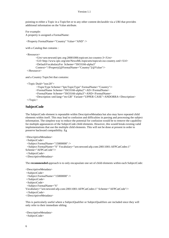pointing to either a Topic in a TopicSet or to any other content declarable via a URI that provides additional information on the Value attribute.

For example: A property is assigned a FormalName:

<Property FormalName="Country" Value="AND" />

with a Catalog that contains :

<Resource>

```
<Urn>urn:newsml:iptc.org:20001006:topicset.iso-country:3</Urn>
       <Url>http://www.iptc.org/site/NewsML/topicsets/topicset.iso-country.xml</Url>
       <DefaultVocabularyFor Scheme="ISO3166-alpha3"
       Context="//Property[@FormalName="Country"]/@Value"/>
 </Resource>
```
and a Country TopicSet that contains:

```
 <Topic Duid="isoc20">
```

```
 <TopicType Scheme="IptcTopicType" FormalName="Country"/>
       <FormalName Scheme="ISO3166-alpha2">AD</FormalName>
      <FormalName Scheme="ISO3166-alpha3">AND</FormalName>
       <Description xml:lang="en-GB" Variant="UPPER CASE">ANDORRA</Description>
 </Topic>
```
#### **SubjectCode**

The SubjectCode element is repeatable within DescriptiveMetadata but also may have repeated child elements within itself. This may lead to confusion and difficulties in parsing and processing the subject information. The simplest way to reduce the potential for confusion would be to remove the capability for multiple appearances of the SubjectCode child elements. However, this would break existing valid implementations that use the multiple child elements. This will not be done at present in order to preserve backward compatibility. Eg

```
<DescriptiveMetadata>
 <SubjectCode>
 <Subject FormalName="15000000" />
  <Subject FormalName="S" Vocabulary="urn:newsml:afp.com:20011001:AFPCatCodes:1"
Scheme="AFPCatCode"/>
 </SubjectCode>
</DescriptiveMetadata>
```
The **recommended** approach is to only encapsulate one set of child elements within each SubjectCode:

```
<DescriptiveMetadata>
 <SubjectCode>
 <Subject FormalName="15000000" />
 </SubjectCode>
 <SubjectCode>
 <Subject FormalName="S"
Vocabulary="urn:newsml:afp.com:20011001:AFPCatCodes:1" Scheme="AFPCatCode"/>
 </SubjectCode>
</DescriptiveMetadata>
```
This is particularly useful where a SubjectQualifier or SubjectQualifiers are included since they will only refer to their immediate sibling

<DescriptiveMetadata> <SubjectCode>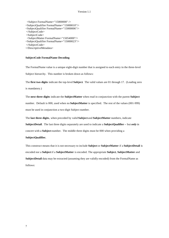<Subject FormalName="15000000" /> <SubjectQualifier FormalName="15000010"/> <SubjectQualifier FormalName="15000006"/> </SubjectCode> <SubjectCode> <SubjectMatter FormalName="15054000"/> <SubjectQualifier FormalName="15000023"/> </SubjectCode> </DescriptiveMetadata>

#### **SubjectCode FormalName Decoding**

The FormalName value is a unique eight-digit number that is assigned to each entry in the three-level Subject hierarchy. This number is broken down as follows:

The **first two digits** indicate the top-level **Subject**. The valid values are 01 through 17. (Leading zero

is mandatory.)

The **next three digits** indicate the **SubjectMatter** when read in conjunction with the parent **Subject** number. Default is 000, used when no **SubjectMatter** is specified. The rest of the values (001-999) must be used in conjunction a two-digit Subject number.

The **last three digits**, when preceded by valid **Subject** and **SubjectMatter** numbers, indicate

**SubjectDetail**. The last three digits separately are used to indicate a **SubjectQualifier –** but *only* in

concert with a **Subject** number. The middle three digits must be 000 when providing a

#### **SubjectQualifier.**

This construct means that it is not necessary to include **Subject** or **SubjectMatter** if a **SubjectDetail** is encoded nor a **Subject** if a **SubjectMatter** is encoded. The appropriate **Subject**, **SubjectMatter** and **SubjectDetail** data may be extracted (assuming they are validly encoded) from the FormalName as follows: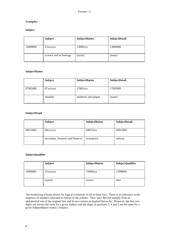# *Examples:*

# **Subject**

|                        | <b>Subject</b> | SubjectMatter | SubjectDetail |  |
|------------------------|----------------|---------------|---------------|--|
| 13000000               | 13xxxxxx       | 13000xxx      | 13000000      |  |
| science and technology |                | (none)        | (none)        |  |

# **SubjectMatter**

|          | <b>Subject</b> | <b>SubjectMatter</b> | <b>SubjectDetail</b> |
|----------|----------------|----------------------|----------------------|
| 07002000 | 07xxxxxx       | 17002xxx             | 17002000             |
|          | (health)       | epidemic and plague  | (none)               |

# **SubjectDetail**

|                                 | <b>Subject</b> | <b>SubjectMatter</b> | <b>SubjectDetail</b> |
|---------------------------------|----------------|----------------------|----------------------|
| 04015002<br>04xxxxxx            |                | 04015xxx             | 04015002             |
| (economy, business and finance) |                | (transport)          | railway              |

#### **SubjectQualifier**

|          | <b>Subject</b> | SubjectMatter | <b>SubjectQualifier</b> |
|----------|----------------|---------------|-------------------------|
| 15000001 | 15xxxxxx       | 15000xxx      | 15000001                |
|          | (sport)        | (none)        | men                     |

The numbering scheme allows for logical extensions to all of these lists. There is no relevance in the sequence of numbers allocated to entries in the scheme. They were derived initially from an alphabetical sort of the original lists and do not contain an implied hierarchy. However, the first two digits are always the same for a given Subject and the digits at positions 3, 4 and 5 are the same for a given SubjectMatter within a Subject.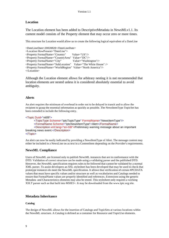# **Location**

The Location element has been added to DescriptiveMetadata in NewsMLv1.1. Its content model consists of the Property element that may occur zero or more times.

This structure for Location would allow us to create the following logical equivalent of a DateLine

```
<DateLineDate>20020828</DateLineDate>
<Location HowPresent="DateLine">
<Property FormalName="Country" Value="US"/>
<Property FormalName="CountryArea" Value="DC"/>
<Property FormalName="City" Value="Washington"/>
\leqProperty FormalName="SubLocation" Value="The White House" />
<Property FormalName="WorldRegion" Value="North America"/>
</Location>
```
Although the Location element allows for arbitrary nesting it is not recommended that location elements are nested unless it is considered absolutely essential to avoid ambiguity.

# **Alerts**

An alert requires the minimum of overhead in order not to be delayed in transit and to allow the recipient to grasp the essential information as quickly as possible. The NewsItemType TopicSet has been extended to include the following entry.

```
<Topic Duid="nit09">
      <TopicType Scheme="IptcTopicType" FormalName="NewsItemType"/>
      <FormalName Scheme="IptcNewsItemType">Alert</FormalName>
      <Description xml:lang="en-GB">Preliminary warning message about an important
breaking news event.</Description>
</Topic>
```
An alert can now be easily indicated by providing a NewsItemType of Alert. The message content may either be included in a NewsLine on as text in a ContentItem depending on the Provider's requirements.

# **NewsML Compliance**

Users of NewsML are licensed only to publish NewsML instances that are in conformance with the DTD. Validation of correct structure can be made using a validating parser and the published DTD. However, the NewsML specification requires rules to be followed that cannot be validated by a normal XML parser. To assist developers an XSL stylesheet has been developed that may be used to check that prototype instances do meet the NewsML specification. It allows that verification of certain #PCDATA values that must have specific values and/or structure as well as vocabularies and Catalogs needed to ensure that FormalName values are properly identified and references. Extensions using the generic Metadata and Characteristics elements may also be tested. This stylesheet only requires a working XSLT parser such as that built into MSIE5+. It may be downloaded from the www.iptc.org site.

# **Metadata Inheritance**

#### **Catalog**

The design of NewsML allows for the insertion of Catalogs and TopicSets at various locations within the NewsML structure. A Catalog is defined as a container for Resource and TopicUse elements.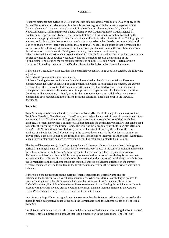Resource elements map URNs to URLs and indicate default external vocabularies which apply to the FormalNames of certain elements within the subtree that begins with the immediate parent of the Catalog element. Catalogs may be placed within the following elements. NewsML, NewsItem, NewsComponent, AdministrativeMetadata, DescriptiveMetaData, RightsMetaData, MetaData, ContentItem, TopicSet and Topic. Hence, as any Catalog will provide information for finding the vocabularies appropriate to the FormalName of the child or descendant elements of the Catalog's parent element, and it is possible that more than one Catalog may exist in the NewsML structure this could lead to confusion over where vocabularies may be found. The Rule that applies is that elements in the tree always inherit Catalog information from the nearest point above them in the tree. In other words the information in the "closest" Catalog overrides any from more distant Catalogs. Where a FormalName attribute has associated with it a Vocabulary attribute this provides a pointer to a TopicSet which is the controlled vocabulary that can be used to resolve the meaning of the FormalName. The value of the Vocabulary attribute is an http URL or a NewsML URN, or the # character followed by the value of the Duid attribute of a TopicSet in the current document.

If there is no Vocabulary attribute, then the controlled vocabulary to be used is located by the following algorithm:

Proceed to the parent of the current element.

If it has a Catalog element as its immediate child, see whether that Catalog contains a Resource element whose DefaultVocabularyFor child contains an Xpath pattern that is matched by the current element. If so, then the controlled vocabulary is the resource identified by that Resource element. If the parent does not meet the above condition, proceed to its parent and check the same condition. Continue until a vocabulary is found, or no further parent elements are available because the root element has been reached and it too fails to meet the condition. This is an error in the NewsML document.

#### **TopicSet**

TopicSets may also be located at different levels in NewsML. The following elements may contain TopicSets:NewsML, NewsItem and NewsComponent. When located within any of these elements they are termed Local Vocabularies. A TopicSet may be pointed to through the use of the Vocabulary attribute. If present it provides a pointer to a TopicSet that is the controlled vocabulary that can be used to resolve the meaning of the FormalName. The value of the Vocabulary attribute is an http URL or a NewsML URN (for external Vocabularies), or the # character followed by the value of the Duid attribute of a TopicSet (Local Vocabulary) in the current document . As the Vocabulary pointer can only identify a specific TopicSet, the location of the TopicSet is not relevant to inheritance. Although a VocabularyPointer could be used to override a default vocabulary pointed to by a Catalog.

The FormalName element (of the Topic) may have a Scheme attribute to indicate that it belongs to a particular naming scheme. It is an error for there to exist two Topics in the same TopicSet that have the same FormalName with the same Scheme attribute. The Scheme attribute, if present, serves to distinguish which of possibly multiple naming schemes in the controlled vocabulary is the one that governs this FormalName. For a match to be obtained within the controlled vocabulary, the rule is that the FormalName and the Scheme must both match. If there is no Scheme attribute on the current element, the match will be to an item in the local vocabulary that has the current FormalName and no Scheme.

If there is a Scheme attribute on the current element, then both the FormalName and the Scheme in the local controlled vocabulary must match. When an external Vocabulary is pointed to from a Catalog the applicable Scheme is indicated by the value of the Scheme attribute in the DefaultVocabularyFor child of the relevant Resource element in the Catalog. If no Scheme attribute is present with the FormalName attribute within the current element then the Scheme in the Catalog DefaultVocabularyFor entry is used as the default for that element.

In order to avoid problems it is good practice to ensure that the Scheme attribute is always used and a match is made in a positive sense using both the FormalName and the Scheme values of a Topic in a TopicSet.

Local Topic additions may be made to external default controlled vocabularies using the TopicSet Ref element. This is a pointer to a TopicSet that is to be merged with the current one. The TopicSet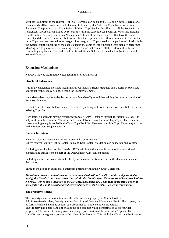attribute is a pointer to the relevant TopicSet. Its value can be an http URL, or a NewsML URN, or a fragment identifier consisting of a # character followed by the Duid of a TopicSet in the current document. The presence of a TopicSetRef child in a TopicSet has the effect that all the Topics in the referenced TopicSet are included by reference within the current local TopicSet. When this merging results in there existing two FormalName grandchildren of the same TopicSet that have the same content and the same Scheme attribute value, then the Topics whose children these are, in fact are the same Topic, and are deemed to be merged. The merging of Topics need not be performed physically by the system, but the meaning of the data is exactly the same as if the merging were actually performed. Merging two Topics consists of creating a single Topic that contains all the children of both, and eliminating duplicates. This method allows for additional Schemes to be added to Topics in default external TopicSets.

#### **Extension Mechanisms**

NewsML may be legitimately extended in the following ways:

#### **Structural Extensions**

Within the designated metadata (AdministrativeMetadata, RightsMetadata and DescriptiveMetadata) additional features may be added using the Property element.

New Metatadata may be added by declaring a MetaDataType and then adding the required number of Property elements.

Default controlled vocabularies may be extended by adding additional entries with new Schemes inside existing TopicSets.

User defined TopicSets may be referenced from a NewsML instance through the user's Catalog. It is helpful if both the containing Topicset and its child Topics have the same TopicType. Thus only one corresponding entry is needed in the TopicType TopicSet. However, multiple TopicTypes may exist as in the topicset.iptc-subjectcode.xml

#### **Content Inclusions**

NewsML may include content inline or externally by reference. Where content is inline within ContentItem and DataContent validation can be maintained by either:

Declaring a local subset for the NewsML DTD within the document instance (allows additional elements and attributes to be part of the DataContent ANY content model.

Including a reference to an external DTD by means of an entity reference in the document instance declaration.

Through the use of an additional namespace attribute within the NewsML element.

*This allows external content structures to be embedded within NewsML but it is not permitted to modify the NewsML document other than within the DataContent. To do so would be a breach of the NewsML licence and a violation of the NewsML trademark. IPTC will take appropriate action to protect its rights in the event of any discovered breach of its NewsML licence or trademark*.

#### **The Property element**

The Property element is used to assert the value of some property on Characteristics, AdministrativeMetadata, DescriptiveMetadata, RightsMetadata, Metadata or Topic. The property must be formally named and may contain sub-properties to handle complex properties. The Property has a name and either a simple or a complex value consisting of a set of further properties. The Value attribute provides a string representation of the value of a Property. The ValueRef attribute gives a pointer to the value of the Property. This might be a Topic in a TopicSet, or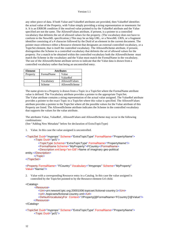any other piece of data. If both Value and ValueRef attributes are provided, then ValueRef identifies the actual value of the Property, with Value simply providing a string representation or mnemonic for it. It is an ERROR condition if the resolved value pointed to by the ValueRef attribute and the Value specified are not the same. The AllowedValues attribute, if present, is a pointer to a controlled vocabulary that delimits the set of allowed values for the property. (The vocabulary does not have to conform to the NewsML specification.) This may be an http URL, or a NewsML URN, or a fragment identifier consisting of a # character followed by the Duid of an element in the current document. The pointer must reference either a Resource element that designates an external controlled vocabulary, or a TopicSet element, that is itself the controlled vocabulary. The AllowedScheme attribute, if present, distinguishes the Scheme in a controlled vocabulary that delimits the set of allowed values for the property. For a match to be obtained within the controlled vocabulary both the AllowedScheme must match the Scheme in the vocabulary and the Value must match the FormalName in the vocabulary. The use of the AllowedScheme attribute serves to indicate that the Value data is drawn from a controlled vocabulary rather that being an uncontrolled entry.

| Element  | <b>Attributes</b>           |          |  |
|----------|-----------------------------|----------|--|
| Property | FormalName<br>Value         |          |  |
|          |                             | ValueRef |  |
|          | AllowedValues<br>Vocabularv |          |  |
|          | AllowedScheme<br>Scheme     |          |  |

The name given to a Property is drawn from a Topic in a TopicSet where the FormalName attribute value is defined. The Vocabulary attribute provides a pointer to the appropriate TopicSet. The Value attribute contains a string representation of the actual value assigned. The ValueRef attribute provides a pointer to the exact Topic in a TopicSet where this value is specified. The AllowedValues attribute provides a pointer to the TopicSet where all the possible values for the Value attribute of this Property are listed. The AllowedScheme attribute indicates the Scheme in the controlled vocabulary that supports the values for the value attribute.

The attributes Value, ValueRef , AllowedValues and AllowedScheme may occur in the following combinations:

(See "Adding New Metadata" below for declaration of ExtraTopicType)

1. Value. In this case the value assigned is uncontrolled.

```
<TopicSet Duid="myprops" Scheme="ExtraTopicType" FormalName="PropertyName">
      <Topic Duid="pcf1">
```
- <TopicType Scheme="ExtraTopicType" FormalName="PropertyName"/>
- <FormalName Scheme="MyProperty">FCountry</FormalName>
- <Description xml:lang="en-GB">Name of imaginary geo-political

```
entity.</Description>
```

```
</Topic>
```

```
</TopicSet>
```
<Property FormalName= "FCountry" Vocabulary="#myprops" Scheme="MyProperty" Value="Narnia"/>

2. Value with a corresponding Resource entry in a Catalog. In this case the value assigned is controlled by the TopicSet pointed to by the Resource element Url child.

#### <Catalog>

```
 <Resource>
```
<Urn>urn:newsml:iptc.org:20001006:topicset.fictional-country:1</Urn> <Url>./topicsets/fictional-country.xml</Url>

<DefaultVocabularyFor Context="//Property[@FormalName='FCountry']/@Value"/> </Resource>

</Catalog>

```
<TopicSet Duid="myprops" Scheme="ExtraTopicType" FormalName="PropertyName">
      <Topic Duid="pcf1">
```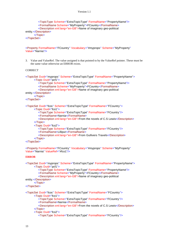```
<TopicType Scheme="ExtraTopicType" FormalName="PropertyName"/>
         <FormalName Scheme="MyProperty">FCountry</FormalName>
         <Description xml:lang="en-GB">Name of imaginary geo-political
entity.</Description>
      </Topic>
</TopicSet>
```
<Property FormalName="FCountry" Vocabulary="#myprops" Scheme="MyProperty" Value="Narnia"/>

3. Value and ValueRef. The value assigned is that pointed to by the ValueRef pointer. These must be the same value otherwise an ERROR exists.

# **CORRECT**

<TopicSet Duid="myprops" Scheme="ExtraTopicType" FormalName="PropertyName"> <Topic Duid="pcf1">

- <TopicType Scheme="ExtraTopicType" FormalName="PropertyName"/>
- <FormalName Scheme="MyProperty">FCountry</FormalName>
- <Description xml:lang="en-GB">Name of imaginary geo-political

```
entity.</Description>
```
- </Topic>
- </TopicSet>

<TopicSet Duid="fcos" Scheme="ExtraTopicType" FormalName="FCountry"> <Topic Duid="fco1">

- <TopicType Scheme="ExtraTopicType" FormalName="FCountry"/>
- <FormalName>Narnia</FormalName>

<Description xml:lang="en-GB">From the novels of C.S Lewis</Description> </Topic>

<Topic Duid="fco2">

- <TopicType Scheme="ExtraTopicType" FormalName="FCountry"/>
- <FormalName>Lilliput</FormalName>
- <Description xml:lang="en-GB">From Gullivers Travels</Description> </Topic>
- </TopicSet>

<Property FormalName="FCountry" Vocabulary="#myprops" Scheme="MyProperty" Value="Narnia" ValueRef="#fco1"/>

#### **ERROR**

```
<TopicSet Duid="myprops" Scheme="ExtraTopicType" FormalName="PropertyName">
      <Topic Duid="pcf1">
         <TopicType Scheme="ExtraTopicType" FormalName="PropertyName"/>
         <FormalName Scheme="MyProperty">FCountry</FormalName>
         <Description xml:lang="en-GB">Name of imaginary geo-political
entity.</Description>
      </Topic>
</TopicSet>
<TopicSet Duid="fcos" Scheme="ExtraTopicType" FormalName="FCountry">
      <Topic Duid="fco1">
         <TopicType Scheme="ExtraTopicType" FormalName="FCountry"/>
         <FormalName>Narnia</FormalName>
         <Description xml:lang="en-GB">From the novels of C.S Lewis</Description>
      </Topic>
      <Topic Duid="fco2">
         <TopicType Scheme="ExtraTopicType" FormalName="FCountry"/>
```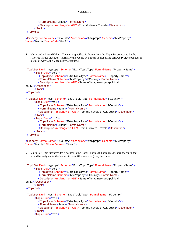```
<FormalName>Lilliput</FormalName>
         <Description xml:lang="en-GB">From Gullivers Travels</Description>
      </Topic>
</TopicSet>
```

```
<Property FormalName="FCountry" Vocabulary="#myprops" Scheme="MyProperty"
Value="Narnia" ValueRef="#fco2"/>
```
4. Value and AllowedValues. The value specified is drawn from the TopicSet pointed to by the AllowedValues attribute. (Normally this would be a local TopicSet and AllowedValues behaves in a similar way to the Vocabulary attribute.)

```
<TopicSet Duid="myprops" Scheme="ExtraTopicType" FormalName="PropertyName">
      <Topic Duid="pcf1">
         <TopicType Scheme="ExtraTopicType" FormalName="PropertyName"/>
         <FormalName Scheme="MyProperty">FCountry</FormalName>
         <Description xml:lang="en-GB">Name of imaginary geo-political
entity.</Description>
      </Topic>
</TopicSet>
<TopicSet Duid="fcos" Scheme="ExtraTopicType" FormalName="FCountry">
      <Topic Duid="fco1">
         <TopicType Scheme="ExtraTopicType" FormalName="FCountry"/>
         <FormalName>Narnia</FormalName>
         <Description xml:lang="en-GB">From the novels of C.S Lewis</Description>
      </Topic>
      <Topic Duid="fco2">
         <TopicType Scheme="ExtraTopicType" FormalName="FCountry"/>
         <FormalName>Lilliput</FormalName>
         <Description xml:lang="en-GB">From Gullivers Travels</Description>
      </Topic>
</TopicSet>
```
<Property FormalName="FCountry" Vocabulary="#myprops" Scheme="MyProperty" Value="Narnia" AllowedValues="#fcos"/>

5. ValueRef. This just provides a pointer to the (local) TopicSet Topic child where the value that would be assigned to the Value attribute (if it was used) may be found.

```
<TopicSet Duid="myprops" Scheme="ExtraTopicType" FormalName="PropertyName">
      <Topic Duid="pcf1">
         <TopicType Scheme="ExtraTopicType" FormalName="PropertyName"/>
         <FormalName Scheme="MyProperty">FCountry</FormalName>
         <Description xml:lang="en-GB">Name of imaginary geo-political
entity.</Description>
      </Topic>
</TopicSet>
<TopicSet Duid="fcos" Scheme="ExtraTopicType" FormalName="FCountry">
      <Topic Duid="fco1">
         <TopicType Scheme="ExtraTopicType" FormalName="FCountry"/>
         <FormalName>Narnia</FormalName>
         <Description xml:lang="en-GB">From the novels of C.S Lewis</Description>
      </Topic>
      <Topic Duid="fco2">
```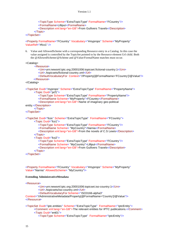```
<TopicType Scheme="ExtraTopicType" FormalName="FCountry"/>
   <FormalName>Lilliput</FormalName>
   <Description xml:lang="en-GB">From Gullivers Travels</Description>
</Topic>
```
</TopicSet>

<Property FormalName="FCountry" Vocabulary="#myprops" Scheme="MyProperty" ValueRef="#fco1" />

6. Value and AllowedScheme with a corresponding Resource entry in a Catalog. In this case the value assigned is controlled by the TopicSet pointed to by the Resource element Url child. Both the @AllowedScheme/@Scheme and @Value/FormalName matches must occur.

<Catalog>

```
 <Resource>
         <Urn>urn:newsml:iptc.org:20001006:topicset.fictional-country:1</Urn>
         <Url>./topicsets/fictional-country.xml</Url>
         <DefaultVocabularyFor Context="//Property[@FormalName='FCountry']/@Value"/>
       </Resource>
</Catalog>
<TopicSet Duid="myprops" Scheme="ExtraTopicType" FormalName="PropertyName">
      <Topic Duid="pcf1">
         <TopicType Scheme="ExtraTopicType" FormalName="PropertyName"/>
         <FormalName Scheme="MyProperty">FCountry</FormalName>
         <Description xml:lang="en-GB">Name of imaginary geo-political
entity.</Description>
      </Topic>
</TopicSet>
<TopicSet Duid="fcos" Scheme="ExtraTopicType" FormalName="FCountry">
      <Topic Duid="fco1">
         <TopicType Scheme="ExtraTopicType" FormalName="FCountry"/>
         <FormalName Scheme= "MyCountry">Narnia</FormalName>
         <Description xml:lang="en-GB">From the novels of C.S Lewis</Description>
      </Topic>
      <Topic Duid="fco2">
         <TopicType Scheme="ExtraTopicType" FormalName="FCountry"/>
         <FormalName Scheme= "MyCountry">Lilliput</FormalName>
         <Description xml:lang="en-GB">From Gullivers Travels</Description>
      </Topic>
</TopicSet>
```

```
<Property FormalName="FCountry" Vocabulary="#myprops" Scheme="MyProperty"
Value="Narnia" AllowedScheme= "MyCountry"/>
```
#### **Extending AdministrativeMetadata**

<Resource>

<Urn>urn:newsml:iptc.org:20001006:topicset.iso-country:1</Urn>

<Url>./topicsets/iso-country.xml</Url>

<DefaultVocabularyFor Scheme="ISO3166-alpha3"

Context="//AdministrativeMetadata/Property[@FormalName='Country']/@Value"/> </Resource>

<TopicSet Duid="iptc.entities" Scheme="ExtraTopicType" FormalName="IptcEntity">

<Comment xml:lang="en-GB">The relevant entities for IPTC publications.</Comment> <Topic Duid="ent01">

<TopicType Scheme="ExtraTopicType" FormalName="IptcEntity"/>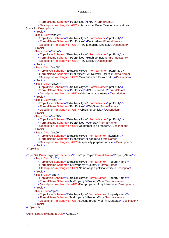<FormalName Scheme="PubEntities">IPTC</FormalName>

<Description xml:lang="en-GB">International Press Telecommunications Council.</Description>

</Topic>

<Topic Duid="ent02">

<TopicType Scheme="ExtraTopicType" FormalName="IptcEntity"/>

<FormalName Scheme="PubEntities">David Allen</FormalName>

<Description xml:lang="en-GB">IPTC Managing Director.</Description> </Topic>

<Topic Duid="ent04">

<TopicType Scheme="ExtraTopicType" FormalName="IptcEntity"/> <FormalName Scheme="PubEntities">Hugh Johnstone</FormalName>

<Description xml:lang="en-GB">IPTC Editor.</Description>

</Topic>

<Topic Duid="ent05">

<TopicType Scheme="ExtraTopicType" FormalName="IptcEntity"/>

<FormalName Scheme="PubEntities">All NewsML Users</FormalName> <Description xml:lang="en-GB">Main audience for web site.</Description>

</Topic>

<Topic Duid="ent06">

<TopicType Scheme="ExtraTopicType" FormalName="IptcEntity"/>

<FormalName Scheme="PubEntities">IPTC NewsML</FormalName>

<Description xml:lang="en-GB">Web site service name.</Description> </Topic>

<Topic Duid="ent07">

<TopicType Scheme="ExtraTopicType" FormalName="IptcEntity"/> <FormalName Scheme="PubEntities">WebSite</FormalName>

<Description xml:lang="en-GB">Publishing vehicle.</Description>

</Topic>

<Topic Duid="ent08">

<TopicType Scheme="ExtraTopicType" FormalName="IptcEntity"/>

<FormalName Scheme="PubEntities">General</FormalName>

<Description xml:lang="en-GB">Of interest to all readers.</Description> </Topic>

<Topic Duid="ent09">

<TopicType Scheme="ExtraTopicType" FormalName="IptcEntity"/>

<FormalName Scheme="PubEntities">Feature</FormalName>

<Description xml:lang="en-GB">A specially prepared article.</Description> </Topic>

</TopicSet>

<TopicSet Duid="myprops" Scheme="ExtraTopicType" FormalName="PropertyName"> <Topic Duid="pc1">

<TopicType Scheme="ExtraTopicType" FormalName="PropertyName"/>

<FormalName Scheme="MyProperty">Country</FormalName>

<Description xml:lang="en-GB">Name of geo-political entity.</Description> </Topic>

<Topic Duid="pp1">

<TopicType Scheme="ExtraTopicType" FormalName="PropertyName"/>

<FormalName Scheme="MyProperty">PropertyOne</FormalName>

<Description xml:lang="en-GB">First property of my Metadata</Description> </Topic>

<Topic Duid="pp2">

<TopicType Scheme="ExtraTopicType" FormalName="PropertyName"/>

<FormalName Scheme="MyProperty">PropertyTwo</FormalName>

<Description xml:lang="en-GB">Second property of my Metadata</Description> </Topic>

</TopicSet>

<AdministrativeMetadata Duid="Admta1">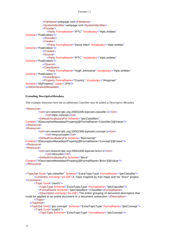```
<FileName>webpage.xml</FileName>
            <SystemIdentifier>webpage.xml</SystemIdentifier>
            <Provider>
               <Party FormalName="IPTC" Vocabulary="#iptc.entities"
Scheme="PubEntities"/>
            </Provider>
            <Creator>
               <Party FormalName="David Allen" Vocabulary="#iptc.entities"
Scheme="PubEntities"/>
            </Creator>
            <Source>
               <Party FormalName="IPTC" Vocabulary="#iptc.entities"
Scheme="PubEntities"/>
            </Source>
            <Contributor>
               <Party FormalName="Hugh Johnstone" Vocabulary="#iptc.entities"
Scheme="PubEntities"/>
            </Contributor>
            <Property FormalName="Country" Vocabulary="#myprops"
Scheme="MyProperty" Value="JPN"/>
</AdministrativeMetadata>
```
**Extending DescriptiveMetadata** This example illustrates how the an additional Classifier may be added to Descriptive Metadata <Resource> <Urn>urn:newsml:iptc.org:20001006:topicset.classifier:1</Urn> <Url>#iptc.concept</Url> <DefaultVocabularyFor Scheme="IptcClassifiers" Context="//DescriptiveMetadata/Property[@FormalName='Classifier']/@Value"/> </Resource> <Resource> <Urn>urn:newsml:iptc.org:20001006:topicset.concept:1</Urn> <Url>#myconcepts</Url> <DefaultVocabularyFor Scheme="MyConcept" Context="//DescriptiveMetadata//Property[@FormalName='Concept']/@Value"/> </Resource> <Resource> <Urn>urn:newsml:iptc.org:20001006:topicset.brico:1</Urn> <Url>#bricolist</Url> <DefaultVocabularyFor Scheme="Brico" Context="//DescriptiveMetadata//Property[@FormalName='Brico']/@Value"/> </Resource> <TopicSet Duid="iptc.classifier" Scheme="ExtraTopicType" FormalName="IptcClassifier"> <Comment xml:lang="en-GB">A Topic inspired by Ken Haas and his "brico" project. </Comment> <Topic Duid="clas01"> <TopicType Scheme="ExtraTopicType" FormalName="IptcClassifier"/> <FormalName Scheme="IptcClassifiers">Classifier</FormalName> <Description xml:lang="en-GB">The entire grouping of document descriptors that could be applied to an entire document or a document subsection.</Description> </Topic> </TopicSet> <TopicSet Duid="iptc.concept" Scheme="ExtraTopicType" FormalName="IptcConcept"> <Topic Duid="ccpt01"> <TopicType Scheme="ExtraTopicType" FormalName="IptcConcept"/>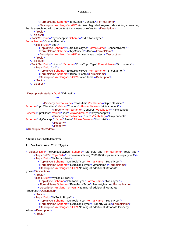```
<FormalName Scheme="IptcClass">Concept</FormalName>
         <Description xml:lang="en-GB">A disambiguated keyword describing a meaning
that is associated with the content it encloses or refers to.</Description>
      </Topic>
   </TopicSet>
   <TopicSet Duid="myconcepts" Scheme="ExtraTopicType"
FormalName="ConceptName">
      <Topic Duid="cc1">
         <TopicType Scheme="ExtraTopicType" FormalName="ConceptName"/>
         <FormalName Scheme="MyConcept">Brico</FormalName>
         <Description xml:lang="en-GB">A Ken Haas project.</Description>
      </Topic>
   </TopicSet>
   <TopicSet Duid="bricolist" Scheme="ExtraTopicType" FormalName="BricoName">
      <Topic Duid="bc1">
         <TopicType Scheme="ExtraTopicType" FormalName="BricoName"/>
         <FormalName Scheme="Brico">Pasta</FormalName>
         <Description xml:lang="en-GB">Italian food.</Description>
      </Topic>
   </TopicSet>
```
<DescriptiveMetadata Duid="Ddmta1">

………

```
<Property FormalName="Classifier" Vocabulary="#iptc.classifier"
Scheme="IptcClassifiers" Value="Concept" AllowedValues="#iptc.concept">
                    <Property FormalName="Concept" Vocabulary="#iptc.concept"
Scheme="IptcClass" Value="Brico" AllowedValues="#myconcepts">
                    <Property FormalName="Brico" Vocabulary="#myconcepts"
Scheme="MyConcept" Value="Pasta" AllowedValues="#bricolist"/>
                    </Property>
                    </Property>
</DescriptiveMetadata>
```
**Adding a New Metadata Type**

```
1. Declare new TopicTypes
<TopicSet Duid="newsmltopictypes" Scheme="IptcTopicType" FormalName="TopicType">
      <TopicSetRef TopicSet="urn:newsml:iptc.org:20001006:topicset.iptc-topictype:1"/>
      <Topic Duid="MyTopic.Meta">
         <TopicType Scheme="IptcTopicType" FormalName="TopicType"/>
         <FormalName Scheme="ExtraTopicType">MetaName</FormalName>
         <Description xml:lang="en-GB">Naming of additional Metadata
types</Description>
      </Topic>
      <Topic Duid="MyTopic.PropN">
         <TopicType Scheme="IptcTopicType" FormalName="TopicType"/>
         <FormalName Scheme="ExtraTopicType">PropertyName</FormalName>
         <Description xml:lang="en-GB">Naming of additional Metadata
Properties</Description>
      </Topic>
      <Topic Duid="MyTopic.PropV">
         <TopicType Scheme="IptcTopicType" FormalName="TopicType"/>
         <FormalName Scheme="ExtraTopicType">PropertyValue</FormalName>
         <Description xml:lang="en-GB">Naming of additional Metadata Property
values</Description>
      </Topic>
```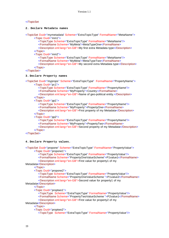# </TopicSet

#### **2. Declare Metadata names**

<TopicSet Duid="mymetadata" Scheme="ExtraTopicType" FormalName="MetaName">

<Topic Duid="mm1">

<TopicType Scheme="ExtraTopicType" FormalName="MetaName"/>

<FormalName Scheme="MyMeta">MetaTypeOne</FormalName>

<Description xml:lang="en-GB">My first extra Metadata type</Description> </Topic>

<Topic Duid="mm2">

<TopicType Scheme="ExtraTopicType" FormalName="MetaName"/>

<FormalName Scheme="MyMeta">MetaTypeTwo</FormalName>

<Description xml:lang="en-GB">My second extra Metadata type</Description>

```
</Topic>
```
</TopicSet>

# **3. Declare Property names**

- <TopicSet Duid="myprops" Scheme="ExtraTopicType" FormalName="PropertyName"> <Topic Duid="pc1">
	- <TopicType Scheme="ExtraTopicType" FormalName="PropertyName"/>

<FormalName Scheme="MyProperty">Country</FormalName>

<Description xml:lang="en-GB">Name of geo-political entity.</Description> </Topic>

<Topic Duid="pp1">

<TopicType Scheme="ExtraTopicType" FormalName="PropertyName"/>

- <FormalName Scheme="MyProperty">PropertyOne</FormalName>
- <Description xml:lang="en-GB">First property of my Metadata</Description> </Topic>
- <Topic Duid="pp2">

<TopicType Scheme="ExtraTopicType" FormalName="PropertyName"/>

<FormalName Scheme="MyProperty">PropertyTwo</FormalName>

<Description xml:lang="en-GB">Second property of my Metadata</Description> </Topic>

#### </TopicSet>

#### **4. Declare Property values.**

<TopicSet Duid="propone" Scheme="ExtraTopicType" FormalName="PropertyValue"> <Topic Duid="propone1">

<TopicType Scheme="ExtraTopicType" FormalName="PropertyValue"/>

<FormalName Scheme="PropertyOneValueScheme">P1value1</FormalName>

<Description xml:lang="en-GB">First value for property1 of my

Metadata</Description>

</Topic>

<Topic Duid="propone2">

<TopicType Scheme="ExtraTopicType" FormalName="PropertyValue"/>

<FormalName Scheme="PropertyOneValueScheme ">P1value2</FormalName> <Description xml:lang="en-GB">Second value for property1 of my

Metadata</Description>

</Topic>

<Topic Duid="proptwo1">

<TopicType Scheme="ExtraTopicType" FormalName="PropertyValue"/>

<FormalName Scheme="PropertyTwoValueScheme ">P2value1</FormalName> <Description xml:lang="en-GB">First value for property2 of my

Metadata</Description>

</Topic>

<Topic Duid="proptwo2">

<TopicType Scheme="ExtraTopicType" FormalName="PropertyValue"/>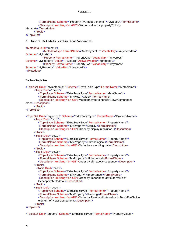```
<FormalName Scheme="PropertyTwoValueScheme ">P2value2</FormalName>
        <Description xml:lang="en-GB">Second value for property2 of my
Metadata</Description>
      </Topic>
</TopicSet>
5. Insert Metadata within NewsComponent.
<Metadata Duid="mext1">
```

```
<MetadataType FormalName="MetaTypeOne" Vocabulary="#mymetadata"
Scheme="MyMeta"/>
            <Property FormalName="PropertyOne" Vocabulary="#myprops"
Scheme="MyProperty" Value="P1value1" AllowedValues="#propone"/>
            <Property FormalName="PropertyTwo" Vocabulary="#myprops"
Scheme="MyProperty" ValueRef="#proptwo1"/>
</Metadata>
```
#### **Declare TopicSets**

```
<TopicSet Duid="mymetadata1" Scheme="ExtraTopicType" FormalName="MetaName">
      <Topic Duid="mmor">
         <TopicType Scheme="ExtraTopicType" FormalName="MetaName"/>
         <FormalName Scheme="MyMeta">Order</FormalName>
         <Description xml:lang="en-GB">Metadata type to specify NewsComponent
order</Description>
      </Topic>
</TopicSet>
<TopicSet Duid="myprops2" Scheme="ExtraTopicType" FormalName="PropertyName">
      <Topic Duid="pco1">
         <TopicType Scheme="ExtraTopicType" FormalName="PropertyName"/>
         <FormalName Scheme="MyProperty">Display</FormalName>
         <Description xml:lang="en-GB">Order by display resolution.</Description>
      </Topic>
      <Topic Duid="pco1">
         <TopicType Scheme="ExtraTopicType" FormalName="PropertyName"/>
         <FormalName Scheme="MyProperty">Chronological</FormalName>
         <Description xml:lang="en-GB">Order by ascending date</Description>
      </Topic>
      <Topic Duid="pco2">
         <TopicType Scheme="ExtraTopicType" FormalName="PropertyName"/>
         <FormalName Scheme="MyProperty">Alphabetical</FormalName>
         <Description xml:lang="en-GB">Order by alphabetic sequence</Description>
      </Topic>
        <Topic Duid="pco3">
         <TopicType Scheme="ExtraTopicType" FormalName="PropertyName"/>
         <FormalName Scheme="MyProperty">Importance</FormalName>
         <Description xml:lang="en-GB">Order by importance attribute value of
         DescriptiveMetadata.</Description>
      </Topic>
      <Topic Duid="pco4">
         <TopicType Scheme="ExtraTopicType" FormalName="PropertyName"/>
         <FormalName Scheme="MyProperty">Ranking</FormalName>
         <Description xml:lang="en-GB">Order by Rank attribute value in BasisForChoice
         element of NewsComponent.</Description>
      </Topic>
```

```
</TopicSet>
```
<TopicSet Duid="propord" Scheme="ExtraTopicType" FormalName="PropertyValue">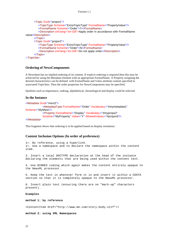```
<Topic Duid="propor1">
         <TopicType Scheme="ExtraTopicType" FormalName="PropertyValue"/>
         <FormalName Scheme="Order">Y</FormalName>
         <Description xml:lang="en-GB">Apply order in accordance with FormalName
value</Description>
      </Topic>
      <Topic Duid="propor2">
         <TopicType Scheme="ExtraTopicType" FormalName="PropertyValue"/>
         <FormalName Scheme="Order">N</FormalName>
         <Description xml:lang="en-GB">Do not apply order</Description>
      </Topic>
</TopicSet>
```
# **Ordering of NewsComponents**

A NewsItem has no implied ordering of its content. If explicit ordering is required then this may be achieved by using the Metadata element with an appropriate FormalName. A Property assigning the desired characteristics can be defined with FormalName and Value attribute content specified in associated TopicSets. Thus the order properties for NewsComponents may be specified.

Qualities such as importance, ranking, alphabetical, chronological and display could be selected.

# **In the Instance**

```
<Metadata Duid="mext2">
            <MetadataType FormalName="Order" Vocabulary="#mymetadata1"
Scheme="MyMeta"/>
           <Property FormalName="Display" Vocabulary="#myprops2"
           Scheme="MyProperty" Value="Y" AllowedValues="#propord"/>
```
</Metadata>

This fragment shows that ordering is to be applied based on display resolution.

# **Content Inclusion Options (In order of preference)**

1=. By reference, using a hyperlink. 1=. Use a namespace and to declare the namespace within the content item.

3. Insert a local DOCTYPE declaration at the head of the instance declaring the elements that are being used within the content text.

4. Use BINHEX coding which again makes the content entirely opaque to the NewsML processor.

5. Keep the text in whatever form it is and insert it within a CDATA section so that it is completely opaque to the NewsML processor.

```
6. Insert plain text (ensuring there are no "mark-up" characters
present).
```
#### **Examples**

**method 1: by reference**

<ContentItem Href="http://www.me.com/story-body.nitf"/>

**method 2: using XML Namespaces**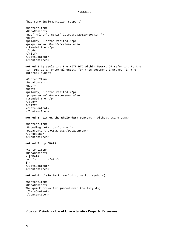(has some implementation support)

```
<ContentItem>
<DataContent>
<nitf xmlns="urn:nitf:iptc.org:20010419:NITF">
<body>
<p>Today, Clinton visited…</p>
<p><person>Al Gore</person> also
attended the…</p>
</body>
</nitf>
</DataContent>
</ContentItem>
```
**method 3:by declaring the NITF DTD within NewsML** OR referring to the NITF DTD as an external entity for this document instance (in the internal subset)

```
<ContentItem>
<DataContent>
<nitf>
<body>
<p>Today, Clinton visited…</p>
<p><person>Al Gore</person> also
attended the…</p>
</body>
</nitf>
</DataContent>
</ContentItem>
```
**method 4: binhex the whole data content** - without using CDATA

```
<ContentItem>
<Encoding notation="binhex">
<DataContent>LJASDLFJSL</DataContent>
</Encoding>
</ContentItem>
```
#### **method 5: by CDATA**

```
<ContentItem>
<DataContent>
<![CDATA[
<nitf>. . . .</nitf>
]] >
</DataContent>
</ContentItem>
```
**method 6: plain text** (excluding markup symbols)

```
<ContentItem>
<DataContent>
The quick brown fox jumped over the lazy dog.
</DataContent>
</ContentItem>_
```
# **Physical Metadata - Use of Characteristics Property Extensions**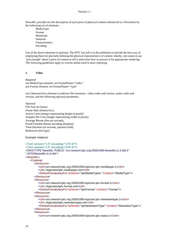NewsML provides for the description of each piece of physical content referenced in a NewsItem by the following set of elements:

MediaType Format Mimetype Notation Characteristics Encoding

Use of the above elements is optional. The IPTC has left it to the publishers to decide the best way of employing them for precisely defining the physical characteristics of content. Ideally, one wants to say "just enough" about a piece of content to tell a subscriber how to process it for appropriate rendering. The following guidelines apply to current media used in news reporting.

#### **1. Video**

Required use MediaType element: set FormalName="video" use Format element: set FormalName="type"

use Characteristics element to indicate file extension, video coder and version, audio coder and version, and the following optional parameters.

Optional File Size (in bytes) Frame Rate (frames/sec), Active Lines (integer representing height in pixels) Samples Per Line (integer representing width in pixels) Average Bitrate (bits per second), Fixed/Variable Bitrate encoding (boolean) Total Duration (in seconds, optional field) Redirector (file type)

Example Instance:

```
<?xml version="1.0" encoding="UTF-8"?>
<?xml version="1.0" encoding="UTF-8"?>
<!DOCTYPE NewsML PUBLIC "urn:newsml:iptc.org:20001006:NewsMLv1.0.dtd:1"
"./DTD/NewsMLv1.0.dtd">
<NewsML>
   <Catalog>
      <Resource>
         <Urn>urn:newsml:iptc.org:20001006:topicset.iptc-mediatype:1</Urn>
         <Url>./topicsets/iptc-mediatype.xml</Url>
         <DefaultVocabularyFor Scheme="IptcMediaTypes" Context="MediaType"/>
      </Resource>
      <Resource>
         <Urn>urn:newsml:iptc.org:20001006:topicset.iptc-format:1</Urn>
         <Url>./topicsets/iptc-format.xml</Url>
         <DefaultVocabularyFor Scheme="IptcFormat" Context="Format"/>
      </Resource>
      <Resource>
         <Urn>urn:newsml:iptc.org:20001006:topicset.iptc-newsitemtype:1</Urn>
         <Url>./topicsets/iptc-newsitemtype.xml</Url>
         <DefaultVocabularyFor Scheme="IptcNewsItemType" Context="NewsItemType"/>
      </Resource>
      <Resource>
         <Urn>urn:newsml:iptc.org:20001006:topicset.iptc-status:1</Urn>
```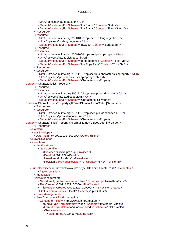<Url>./topicsets/iptc-status.xml</Url> <DefaultVocabularyFor Scheme="IptcStatus" Context="Status"/> <DefaultVocabularyFor Scheme="IptcStatus" Context="FutureStatus"/> </Resource> <Resource> <Urn>urn:newsml:iptc.org:20001006:topicset.iso-language:1</Urn> <Url>./topicsets/iso-language.xml</Url> <DefaultVocabularyFor Scheme="ISO639" Context="Language"/> </Resource> <Resource> <Urn>urn:newsml:iptc.org:20001006:topicset.iptc-topictype:1</Urn> <Url>./topicsets/iptc-topictype.xml</Url> <DefaultVocabularyFor Scheme="IptcTopicType" Context="TopicType"/> <DefaultVocabularyFor Scheme="IptcTopicType" Context="TopicSet"/> </Resource> <Resource> <Urn>urn:newsml:iptc.org:20011101:topicset.iptc-characteristicsproperty:1</Urn> <Url>./topicsets/iptc-characteristicsproperty.xml</Url> <DefaultVocabularyFor Scheme="CharacteristicsProperty" Context="Characteristics/Property"/> </Resource> <Resource> <Urn>urn:newsml:iptc.org:20011101:topicset.iptc-audiocoder:1</Urn> <Url>./topicsets/iptc-audiocoder.xml</Url> <DefaultVocabularyFor Scheme="CharacteristicsProperty" Context="Characteristics/Property[@FormalName='AudioCoder']/@Value"/> </Resource> <Resource> <Urn>urn:newsml:iptc.org:20011101:topicset.iptc-videocoder:1</Urn> <Url>./topicsets/iptc-videocoder.xml</Url> <DefaultVocabularyFor Scheme="CharacteristicsProperty" Context="Characteristics/Property[@FormalName='VideoCoder']/@Value"/> </Resource> </Catalog> <NewsEnvelope> <DateAndTime>20011122T100000</DateAndTime> </NewsEnvelope> <NewsItem> <Identification> <NewsIdentifier> <ProviderId>www.iptc.org</ProviderId> <DateId>20011122</DateId> <NewsItemId>PHMeta2</NewsItemId> <RevisionId PreviousRevision="0" Update="N">1</RevisionId> <PublicIdentifier>urn:newsml:www.iptc.org:20011122:PHMeta2:1</PublicIdentifier> </NewsIdentifier> </Identification> <NewsManagement> <NewsItemType FormalName="News" Scheme="IptcNewsItemType"/> <FirstCreated>20011122T100000</FirstCreated> <ThisRevisionCreated>20011122T100000</ThisRevisionCreated> <Status FormalName="Usable" Scheme="IptcStatus"/> </NewsManagement> <NewsComponent Duid="samp1"> <ContentItem Href="http://www.iptc.org/test.asf"> <MediaType FormalName="Video" Scheme="IptcMediaTypes"/> <Format FormalName="Windows Media" Scheme="IptcFormat"/> <Characteristics> <SizeInBytes>123456</SizeInBytes>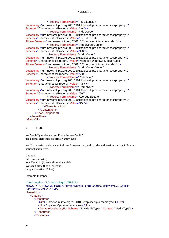```
<Property FormalName="FileExtension"
Vocabulary="urn:newsml:iptc.org:20011101:topicset.iptc-characteristicsproperty:1"
Scheme="CharacteristicsProperty" Value=".asf"/>
                <Property FormalName="VideoCoder"
Vocabulary="urn:newsml:iptc.org:20011101:topicset.iptc-characteristicsproperty:1"
Scheme="CharacteristicsProperty" Value="ISO MPEG-4"
AllowedValues="urn:newsml:iptc.org:20011101:topicset.iptc-videocoder:1"/>
                <Property FormalName="VideoCoderVersion"
Vocabulary="urn:newsml:iptc.org:20011101:topicset.iptc-characteristicsproperty:1"
Scheme="CharacteristicsProperty" Value="1.0"/>
                <Property FormalName="AudioCoder"
Vocabulary="urn:newsml:iptc.org:20011101:topicset.iptc-characteristicsproperty:1"
Scheme="CharacteristicsProperty" Value="Microsoft Windows Media Audio"
AllowedValues="urn:newsml:iptc.org:20011101:topicset.iptc-audiocoder:1"/>
                <Property FormalName="AudioCoderVersion"
Vocabulary="urn:newsml:iptc.org:20011101:topicset.iptc-characteristicsproperty:1"
Scheme="CharacteristicsProperty" Value="7.0"/>
                <Property FormalName="Redirector"
Vocabulary="urn:newsml:iptc.org:20011101:topicset.iptc-characteristicsproperty:1"
Scheme="CharacteristicsProperty" Value=".asx"/>
                <Property FormalName="FrameRate"
Vocabulary="urn:newsml:iptc.org:20011101:topicset.iptc-characteristicsproperty:1"
Scheme="CharacteristicsProperty" Value="50"/>
                <Property FormalName="AverageBitRate"
Vocabulary="urn:newsml:iptc.org:20011101:topicset.iptc-characteristicsproperty:1"
Scheme="CharacteristicsProperty" Value="456"/>
             </Characteristics>
         </ContentItem>
      </NewsComponent>
   </NewsItem>
</NewsML>
```
### **2. Audio**

use MediaType element: set FormalName="audio" use Formal element: set FormalName="type"

use Characteristics element to indicate file extension, audio coder and version, and the following optional parameters.

Optional File Size (in bytes) total Duration (in seconds, optional field) average bitrate (bits per second) sample size (8 or 16 bits)

Example Instance:

```
<?xml version="1.0" encoding="UTF-8"?>
<!DOCTYPE NewsML PUBLIC "urn:newsml:iptc.org:20001006:NewsMLv1.0.dtd:1"
"./DTD/NewsMLv1.0.dtd">
<NewsML>
   <Catalog>
      <Resource>
         <Urn>urn:newsml:iptc.org:20001006:topicset.iptc-mediatype:1</Urn>
         <Url>./topicsets/iptc-mediatype.xml</Url>
         <DefaultVocabularyFor Scheme="IptcMediaTypes" Context="MediaType"/>
      </Resource>
      <Resource>
```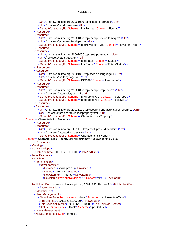<Urn>urn:newsml:iptc.org:20001006:topicset.iptc-format:1</Urn> <Url>./topicsets/iptc-format.xml</Url> <DefaultVocabularyFor Scheme="IptcFormat" Context="Format"/> </Resource> <Resource> <Urn>urn:newsml:iptc.org:20001006:topicset.iptc-newsitemtype:1</Urn> <Url>./topicsets/iptc-newsitemtype.xml</Url> <DefaultVocabularyFor Scheme="IptcNewsItemType" Context="NewsItemType"/> </Resource> <Resource> <Urn>urn:newsml:iptc.org:20001006:topicset.iptc-status:1</Urn> <Url>./topicsets/iptc-status.xml</Url> <DefaultVocabularyFor Scheme="IptcStatus" Context="Status"/> <DefaultVocabularyFor Scheme="IptcStatus" Context="FutureStatus"/> </Resource> <Resource> <Urn>urn:newsml:iptc.org:20001006:topicset.iso-language:1</Urn> <Url>./topicsets/iso-language.xml</Url> <DefaultVocabularyFor Scheme="ISO639" Context="Language"/> </Resource> <Resource> <Urn>urn:newsml:iptc.org:20001006:topicset.iptc-topictype:1</Urn> <Url>./topicsets/iptc-topictype.xml</Url> <DefaultVocabularyFor Scheme="IptcTopicType" Context="TopicType"/> <DefaultVocabularyFor Scheme="IptcTopicType" Context="TopicSet"/> </Resource> <Resource> <Urn>urn:newsml:iptc.org:20011101:topicset.iptc-characteristicsproperty:1</Urn> <Url>./topicsets/iptc-characteristicsproperty.xml</Url> <DefaultVocabularyFor Scheme="CharacteristicsProperty" Context="Characteristics/Property"/> </Resource> <Resource> <Urn>urn:newsml:iptc.org:20011101:topicset.iptc-audiocoder:1</Urn> <Url>./topicsets/iptc-audiocoder.xml</Url> <DefaultVocabularyFor Scheme="CharacteristicsProperty" Context="Characteristics/Property[@FormalName='AudioCoder']/@Value"/> </Resource> </Catalog> <NewsEnvelope> <DateAndTime>20011122T110000</DateAndTime> </NewsEnvelope> <NewsItem> <Identification> <NewsIdentifier> <ProviderId>www.iptc.org</ProviderId> <DateId>20011122</DateId> <NewsItemId>PHMeta3</NewsItemId> <RevisionId PreviousRevision="0" Update="N">1</RevisionId> <PublicIdentifier>urn:newsml:www.iptc.org:20011122:PHMeta3:1</PublicIdentifier> </NewsIdentifier> </Identification> <NewsManagement> <NewsItemType FormalName="News" Scheme="IptcNewsItemType"/> <FirstCreated>20011122T110000</FirstCreated> <ThisRevisionCreated>20011122T110000</ThisRevisionCreated> <Status FormalName="Usable" Scheme="IptcStatus"/> </NewsManagement> <NewsComponent Duid="samp1">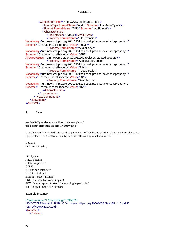<ContentItem Href="http://www.iptc.org/test.mp3"> <MediaType FormalName="Audio" Scheme="IptcMediaTypes"/> <Format FormalName="MP3" Scheme="IptcFormat"/> <Characteristics> <SizeInBytes>123456</SizeInBytes> <Property FormalName="FileExtension" Vocabulary="urn:newsml:iptc.org:20011101:topicset.iptc-characteristicsproperty:1" Scheme="CharacteristicsProperty" Value=".mp3"/> <Property FormalName="AudioCoder" Vocabulary="urn:newsml:iptc.org:20011101:topicset.iptc-characteristicsproperty:1" Scheme="CharacteristicsProperty" Value="MP3" AllowedValues="urn:newsml:iptc.org:20011101:topicset.iptc-audiocoder:"/> <Property FormalName="AudioCoderVersion" Vocabulary="urn:newsml:iptc.org:20011101:topicset.iptc-characteristicsproperty:1" Scheme="CharacteristicsProperty" Value="1.0"/> <Property FormalName="TotalDuration" Vocabulary="urn:newsml:iptc.org:20011101:topicset.iptc-characteristicsproperty:1" Scheme="CharacteristicsProperty" Value="30"/> <Property FormalName="SampleSize" Vocabulary="urn:newsml:iptc.org:20011101:topicset.iptc-characteristicsproperty:1" Scheme="CharacteristicsProperty" Value="16"/> </Characteristics> </ContentItem> </NewsComponent> </NewsItem> </NewsML>

#### **3. Photo**

use MediaType element: set FormalName="photo" use Format element: set FormalName="type"

Use Characteristics to indicate required parameters of height and width in pixels and the color space (greyscale, RGB, YCMK, or Palette) and the following optional parameter:

Optional File Size (in bytes)

File Types: JPEG Baseline JPEG Progressive GIF 87a GIF89a non-interlaced GIF89a interlaced BMP (Microsoft Bitmap) PNG (Portable Network Graphic) PCX (Doesn't appear to stand for anything in particular) TIF (Tagged Image File Format)

Example Instance:

```
<?xml version="1.0" encoding="UTF-8"?>
<!DOCTYPE NewsML PUBLIC "urn:newsml:iptc.org:20001006:NewsMLv1.0.dtd:1"
"./DTD/NewsMLv1.0.dtd">
<NewsML>
   <Catalog>
```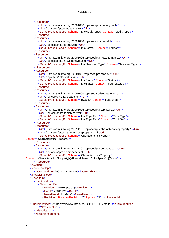<Resource> <Urn>urn:newsml:iptc.org:20001006:topicset.iptc-mediatype:1</Urn> <Url>./topicsets/iptc-mediatype.xml</Url> <DefaultVocabularyFor Scheme="IptcMediaTypes" Context="MediaType"/> </Resource> <Resource> <Urn>urn:newsml:iptc.org:20001006:topicset.iptc-format:2</Urn> <Url>./topicsets/iptc-format.xml</Url> <DefaultVocabularyFor Scheme="IptcFormat" Context="Format"/> </Resource> <Resource> <Urn>urn:newsml:iptc.org:20001006:topicset.iptc-newsitemtype:1</Urn> <Url>./topicsets/iptc-newsitemtype.xml</Url> <DefaultVocabularyFor Scheme="IptcNewsItemType" Context="NewsItemType"/> </Resource> <Resource> <Urn>urn:newsml:iptc.org:20001006:topicset.iptc-status:2</Urn> <Url>./topicsets/iptc-status.xml</Url> <DefaultVocabularyFor Scheme="IptcStatus" Context="Status"/> <DefaultVocabularyFor Scheme="IptcStatus" Context="FutureStatus"/> </Resource> <Resource> <Urn>urn:newsml:iptc.org:20001006:topicset.iso-language:1</Urn> <Url>./topicsets/iso-language.xml</Url> <DefaultVocabularyFor Scheme="ISO639" Context="Language"/> </Resource> <Resource> <Urn>urn:newsml:iptc.org:20001006:topicset.iptc-topictype:1</Urn> <Url>./topicsets/iptc-topictype.xml</Url> <DefaultVocabularyFor Scheme="IptcTopicType" Context="TopicType"/> <DefaultVocabularyFor Scheme="IptcTopicType" Context="TopicSet"/> </Resource> <Resource> <Urn>urn:newsml:iptc.org:20011101:topicset.iptc-characteristicsproperty:1</Urn> <Url>./topicsets/iptc-characteristicsproperty.xml</Url> <DefaultVocabularyFor Scheme="CharacteristicsProperty" Context="Characteristics/Property"/> </Resource> <Resource> <Urn>urn:newsml:iptc.org:20011101:topicset.iptc-colorspace:1</Urn> <Url>./topicsets/iptc-colorspace.xml</Url> <DefaultVocabularyFor Scheme="CharacteristicsProperty" Context="Characteristics/Property[@FormalName='ColorSpace']/@Value"/> </Resource> </Catalog> <NewsEnvelope> <DateAndTime>20011121T100000</DateAndTime> </NewsEnvelope> <NewsItem> <Identification> <NewsIdentifier> <ProviderId>www.iptc.org</ProviderId> <DateId>20011121</DateId> <NewsItemId>PHMeta1</NewsItemId> <RevisionId PreviousRevision="0" Update="N">1</RevisionId> <PublicIdentifier>urn:newsml:www.iptc.org:20011121:PHMeta1:1</PublicIdentifier> </NewsIdentifier>

- </Identification>
- <NewsManagement>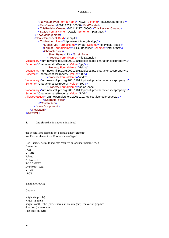```
<NewsItemType FormalName="News" Scheme="IptcNewsItemType"/>
         <FirstCreated>20011121T100000</FirstCreated>
         <ThisRevisionCreated>20011121T100000</ThisRevisionCreated>
         <Status FormalName="Usable" Scheme="IptcStatus"/>
      </NewsManagement>
      <NewsComponent Duid="samp1">
         <ContentItem Href="http://www.iptc.org/test.jpg">
            <MediaType FormalName="Photo" Scheme="IptcMediaTypes"/>
            <Format FormalName="JPEG Baseline" Scheme="IptcFormat"/>
            <Characteristics>
               <SizeInBytes>1234</SizeInBytes>
               <Property FormalName="FileExtension"
Vocabulary="urn:newsml:iptc.org:20011101:topicset.iptc-characteristicsproperty:1"
Scheme="CharacteristicsProperty" Value=".jpg"/>
               <Property FormalName="Height"
Vocabulary="urn:newsml:iptc.org:20011101:topicset.iptc-characteristicsproperty:1"
Scheme="CharacteristicsProperty" Value="300"/>
               <Property FormalName="Width"
Vocabulary="urn:newsml:iptc.org:20011101:topicset.iptc-characteristicsproperty:1"
Scheme="CharacteristicsProperty" Value="100"/>
               <Property FormalName="ColorSpace"
Vocabulary="urn:newsml:iptc.org:20011101:topicset.iptc-characteristicsproperty:1"
Scheme="CharacteristicsProperty" Value="RGB"
AllowedValues="urn:newsml:iptc.org:20011101:topicset.iptc-colorspace:1"/>
            </Characteristics>
         </ContentItem>
      </NewsComponent>
   </NewsItem>
</NewsML>
```
**4. Graphic** (this includes animations)

use MediaType element: set FormalName="graphic" use Format element: set FormalName="type"

Use Characteristics to indicate required color space parameter eg Greyscale RGB YCMK Palette X,Y,Z CIE RGB SMPTE  $L^*a^*b^*(K)$  CIE YCbCr sRGB

and the following

Optional

height (in pixels) width (in pixels) height\_width\_ratio (n:m, where n,m are integers)- for vector graphics duration (in seconds) File Size (in bytes)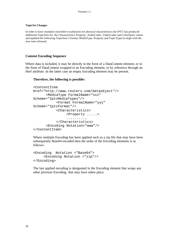# **TopicSet Changes**

In order to have standard controlled vocabularies for physical characteristics the IPTC has produced additional TopicSets for the Characteristics Property, AudioCoder, VideoCoder and ColorSpace values and updated the following TopicSets ( Format, MediaType, Property and TopicType) to align with the new ones released.

# **Content Encoding Sequence**

Where data is included, it may be directly in the form of a DataContent element, or in the form of DataContent wrapped in an Encoding element, or by reference through an Href attribute. In the latter case an empty Encoding element may be present.

# **Therefore, the following is possible:**

```
<ContentItem
Href="http://www.reuters.com/dataobject"/>
      <MediaType FormalName="xxx"
Scheme="IptcMediaTypes"/>
           <Format FormalName="yyy"
Scheme="IptcFormat"/>
           <Characteristics>
                <Property .....>
                 ..........
           </Characteristics>
      <Encoding Notation="www"/>
</ContentItem>
```
Where multiple Encoding has been applied such as a zip file that may have been subsequently Base64 encoded then the order of the Encoding elements is as follows:

```
<Encoding Notation ="Base64">
      <Encoding Notation ="zip"/>
</Encoding>
```
The last applied encoding is designated in the Encoding element that wraps any other previous Encoding that may have taken place.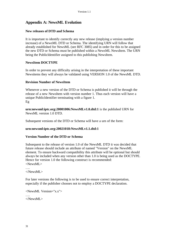# **Appendix A: NewsML Evolution**

# **New releases of DTD and Schema**

It is important to identify correctly any new release (implying a version number increase) of a NewsML DTD or Schema. The identifying URN will follow that already established for NewsML (see RFC 3085) and in order for this to be assigned the new DTD or Schema must be published within a NewsML NewsItem. The URN being the PublicIdentifier assigned to this publishing NewsItem.

# **NewsItem DOCTYPE**

In order to prevent any difficulty arising in the interpretation of these important Newsitems they will always be validated using VERSION 1.0 of the NewsML DTD.

# **Revision Number of NewsItem**

Whenever a new version of the DTD or Schema is published it will be through the release of a new NewsItem with version number 1. Thus each version will have a unique PublicIdentifier terminating with a figure 1. Eg

**urn:newsml:iptc.org:20001006:NewsMLv1.0.dtd:1** is the published URN for NewsML version 1.0 DTD.

Subsequent versions of the DTD or Schema will have a urn of the form:

# **urn:newsml:iptc.org:20021018:NewsMLv1.1.dtd:1**

# **Version Number of the DTD or Schema**

Subsequent to the release of version 1.0 of the NewsML DTD it was decided that future release should include an attribute of named "Version" on the NewsML element. To ensure backward compatibility this attribute will be optional but should always be included when any version other than 1.0 is being used as the DOCTYPE. Hence for version 1.0 the following construct is recommended: <NewsML>

…. </NewsML>

For later versions the following is to be used to ensure correct interpretation, especially if the publisher chooses not to employ a DOCTYPE declaration.

```
<NewsML Version="x.x">
….
</NewsML>
```